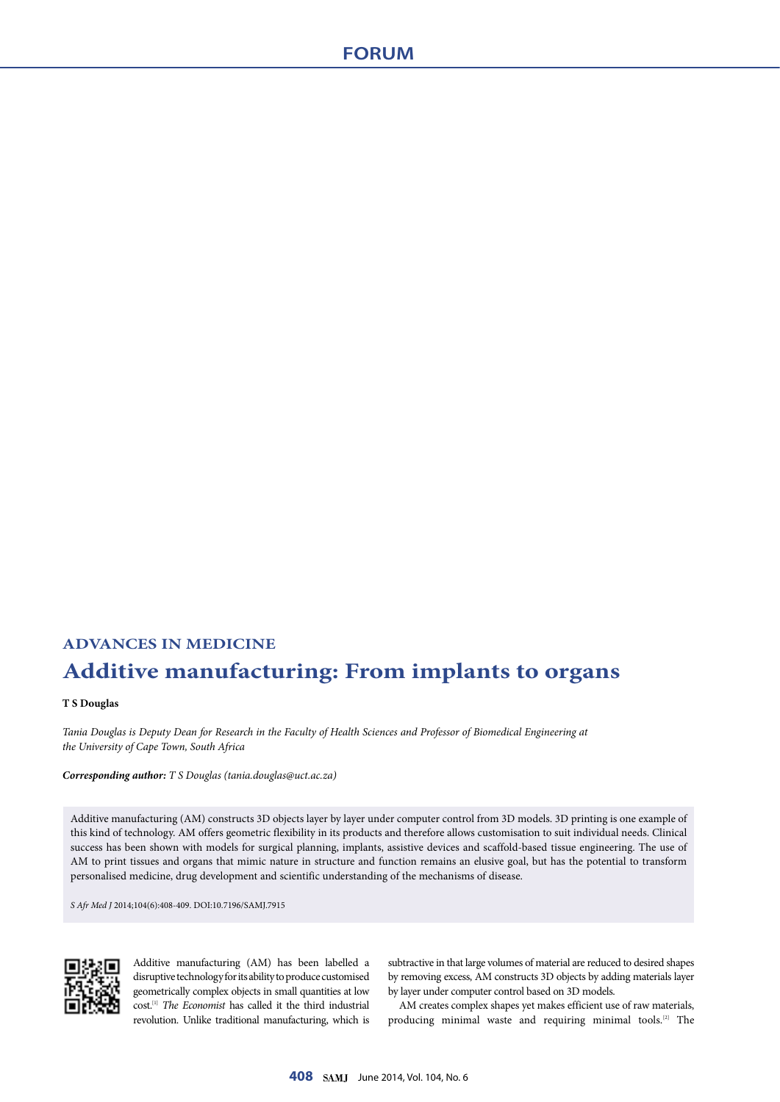## **ADVANCES IN MEDICINE Additive manufacturing: From implants to organs**

## **T S Douglas**

*Tania Douglas is Deputy Dean for Research in the Faculty of Health Sciences and Professor of Biomedical Engineering at the University of Cape Town, South Africa*

*Corresponding author: T S Douglas ([tania.douglas@uct.ac.za\)](mailto:tania.douglas@uct.ac.za)*

Additive manufacturing (AM) constructs 3D objects layer by layer under computer control from 3D models. 3D printing is one example of this kind of technology. AM offers geometric flexibility in its products and therefore allows customisation to suit individual needs. Clinical success has been shown with models for surgical planning, implants, assistive devices and scaffold-based tissue engineering. The use of AM to print tissues and organs that mimic nature in structure and function remains an elusive goal, but has the potential to transform personalised medicine, drug development and scientific understanding of the mechanisms of disease.

*S Afr Med J* 2014;104(6):408-409. DOI:10.7196/SAMJ.7915



Additive manufacturing (AM) has been labelled a disruptive technology for its ability to produce customised geometrically complex objects in small quantities at low cost.[1] *The Economist* has called it the third industrial revolution. Unlike traditional manufacturing, which is

subtractive in that large volumes of material are reduced to desired shapes by removing excess, AM constructs 3D objects by adding materials layer by layer under computer control based on 3D models.

AM creates complex shapes yet makes efficient use of raw materials, producing minimal waste and requiring minimal tools.[2] The